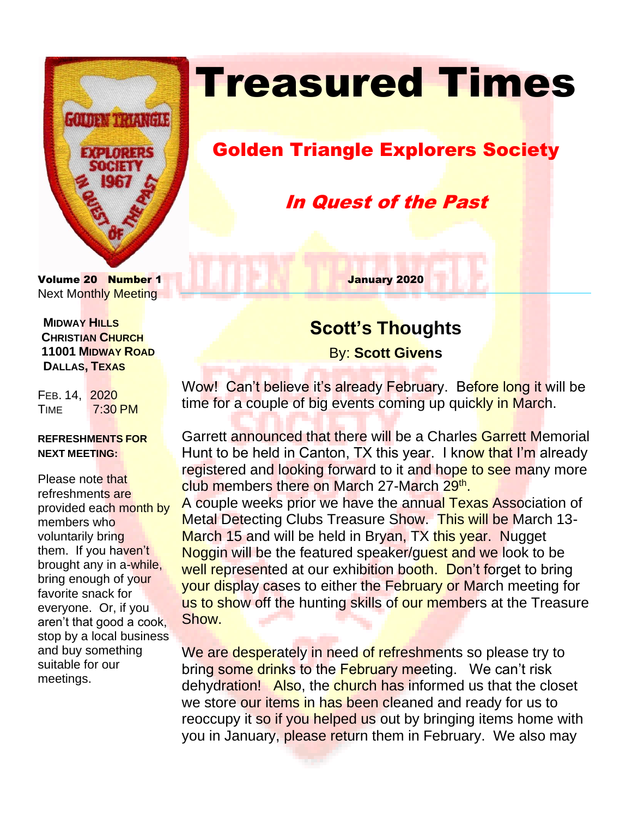

# **Treasured Times**

## Golden Triangle Explorers Society

In Quest of the Past

Volume 20 Number 1 January 2020 Next Monthly Meeting

 **MIDWAY HILLS CHRISTIAN CHURCH 11001 MIDWAY ROAD DALLAS, TEXAS**

FEB. 14, 2020 TIME 7:30 PM

#### **REFRESHMENTS FOR NEXT MEETING:**

Please note that refreshments are provided each month by members who voluntarily bring them. If you haven't brought any in a-while, bring enough of your favorite snack for everyone. Or, if you aren't that good a cook, stop by a local business and buy something suitable for our meetings.

### **Scott's Thoughts**

By: **Scott Givens**

Wow! Can't believe it's already February. Before long it will be time for a couple of big events coming up quickly in March.

Garrett announced that there will be a Charles Garrett Memorial Hunt to be held in Canton, TX this year. I know that I'm already registered and looking forward to it and hope to see many more club members there on March 27-March 29<sup>th</sup>.

A couple weeks prior we have the annual Texas Association of Metal Detecting Clubs Treasure Show. This will be March 13- March 15 and will be held in Bryan, TX this year. Nugget Noggin will be the featured speaker/guest and we look to be well represented at our exhibition booth. Don't forget to bring your display cases to either the February or March meeting for us to show off the hunting skills of our members at the Treasure Show.

We are desperately in need of refreshments so please try to bring some drinks to the February meeting. We can't risk dehydration! Also, the church has informed us that the closet we store our items in has been cleaned and ready for us to reoccupy it so if you helped us out by bringing items home with you in January, please return them in February. We also may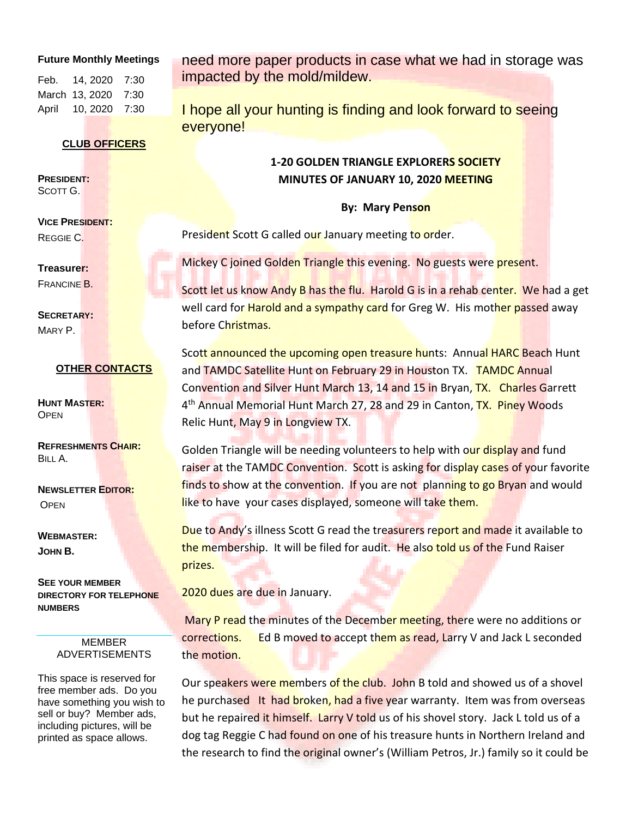#### **Future Monthly Meetings**

Feb. 14, 2020 7:30 March 13, 2020 7:30 April 10, 2020 7:30

#### **CLUB OFFICERS**

**PRESIDENT:** SCOTT G.

**VICE PRESIDENT:**  REGGIE C.

**Treasurer:**  FRANCINE B.

**SECRETARY:**  MARY P.

#### **OTHER CONTACTS**

**HUNT MASTER: OPEN** 

**REFRESHMENTS CHAIR:** BILL A.

**NEWSLETTER EDITOR: OPEN** 

**WEBMASTER: JOHN B.**

**SEE YOUR MEMBER DIRECTORY FOR TELEPHONE NUMBERS**

#### MEMBER ADVERTISEMENTS

This space is reserved for free member ads. Do you have something you wish to sell or buy? Member ads, including pictures, will be printed as space allows.

need more paper products in case what we had in storage was impacted by the mold/mildew.

I hope all your hunting is finding and look forward to seeing everyone!

### **1-20 GOLDEN TRIANGLE EXPLORERS SOCIETY MINUTES OF JANUARY 10, 2020 MEETING**

**By: Mary Penson**

President Scott G called our January meeting to order.

Mickey C joined Golden Triangle this evening. No guests were present.

Scott let us know Andy B has the flu. Harold G is in a rehab center. We had a get well card for **Harold and a sympathy card** for Greg W. His mother passed away before Christmas.

Scott announced the upcoming open treasure hunts: Annual HARC Beach Hunt and TAMDC Satellite Hunt on February 29 in Houston TX. TAMDC Annual Convention and Silver Hunt March 13, 14 and 15 in Bryan, TX. Charles Garrett 4<sup>th</sup> Annual Memorial Hunt March 27, 28 and 29 in Canton, TX. Piney Woods Relic Hunt, May 9 in Longview TX.

Golden Triangle will be needing volunteers to help with our display and fund raiser at the TAMDC Convention. Scott is asking for display cases of your favorite finds to show at the convention. If you are not planning to go Bryan and would like to have your cases displayed, someone will take them.

Due to Andy's illness Scott G read the treasurers report and made it available to the membership. It will be filed for audit. He also told us of the Fund Raiser prizes.

2020 dues are due in January.

Mary P read the minutes of the December meeting, there were no additions or corrections. Ed B moved to accept them as read, Larry V and Jack L seconded the motion.

Our speakers were members of the club. John B told and showed us of a shovel he purchased It had broken, had a five year warranty. Item was from overseas but he repaired it himself. Larry V told us of his shovel story. Jack L told us of a dog tag Reggie C had found on one of his treasure hunts in Northern Ireland and the research to find the original owner's (William Petros, Jr.) family so it could be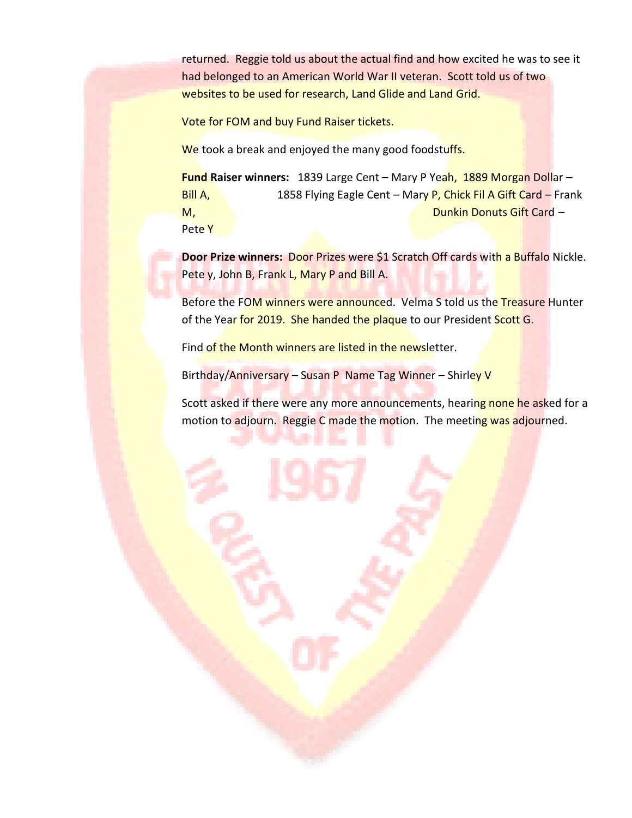returned. Reggie told us about the actual find and how excited he was to see it had belonged to an American World War II veteran. Scott told us of two websites to be used for research, Land Glide and Land Grid.

Vote for FOM and buy Fund Raiser tickets.

We took a break and enjoyed the many good foodstuffs.

**Fund Raiser winners:** 1839 Large Cent – Mary P Yeah, 1889 Morgan Dollar – Bill A, 1858 Flying Eagle Cent – Mary P, Chick Fil A Gift Card – Frank M, Dunkin Donuts Gift Card – Pete Y

**Door Prize winners:** Door Prizes were \$1 Scratch Off cards with a Buffalo Nickle. Pete y, John B, Frank L, Mary P and Bill A.

Before the FOM winners were announced. Velma S told us the Treasure Hunter of the Year for 2019. She handed the plaque to our President Scott G.

Find of the Month winners are listed in the newsletter.

Birthday/Anniversary – Susan P Name Tag Winner – Shirley V

Scott asked if there were any more announcements, hearing none he asked for a motion to adjourn. Reggie C made the motion. The meeting was adjourned.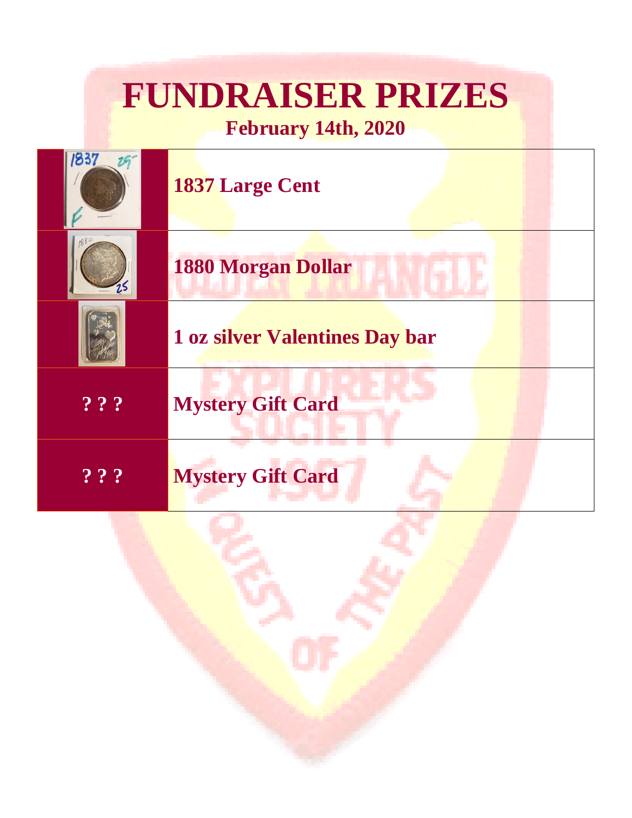## **FUNDRAISER PRIZES February 14th, 2020**



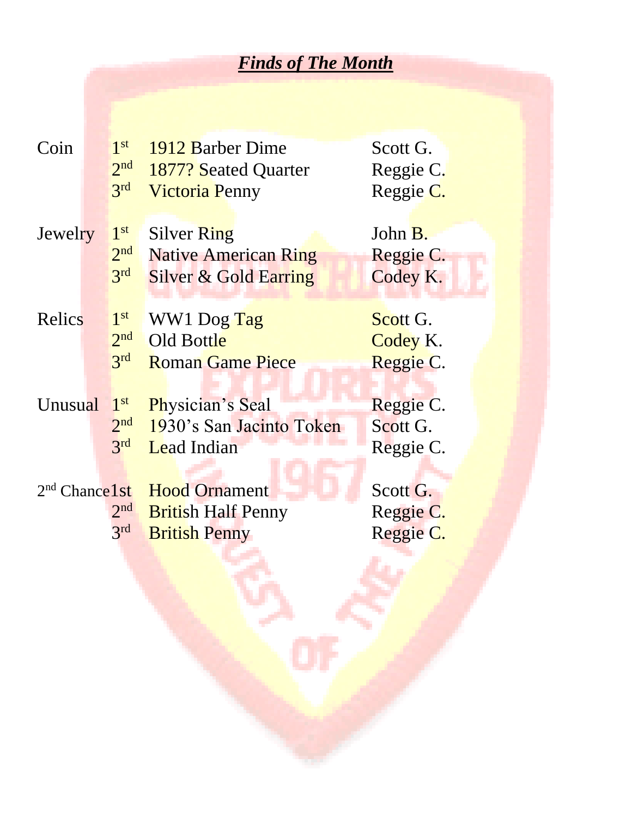## *Finds of The Month*

| Coin              |  | 1 <sup>st</sup><br>2 <sup>nd</sup> | 1912 Barber Dime                 | Scott G.  |
|-------------------|--|------------------------------------|----------------------------------|-----------|
|                   |  |                                    | 1877? Seated Quarter             | Reggie C. |
|                   |  | 3rd                                | <b>Victoria Penny</b>            | Reggie C. |
| Jewelry           |  | 1 <sup>st</sup>                    | <b>Silver Ring</b>               | John B.   |
|                   |  | 2 <sup>nd</sup>                    | <b>Native American Ring</b>      | Reggie C. |
|                   |  | 3 <sup>rd</sup>                    | <b>Silver &amp; Gold Earring</b> | Codey K.  |
|                   |  |                                    |                                  |           |
| Relics            |  | 1 <sup>st</sup>                    | WW1 Dog Tag                      | Scott G.  |
|                   |  | 2 <sup>nd</sup>                    | Old Bottle                       | Codey K.  |
|                   |  | 3 <sup>rd</sup>                    | <b>Roman Game Piece</b>          | Reggie C. |
|                   |  |                                    |                                  |           |
| Unusual           |  | 1 <sup>st</sup>                    | Physician's Seal                 | Reggie C. |
|                   |  | 2 <sup>nd</sup>                    | 1930's San Jacinto Token         | Scott G.  |
|                   |  | 3rd                                | <b>Lead Indian</b>               | Reggie C. |
|                   |  |                                    |                                  |           |
| $2nd$ Chance 1 st |  |                                    | <b>Hood Ornament</b>             | Scott G.  |
|                   |  | 2 <sup>nd</sup>                    | <b>British Half Penny</b>        | Reggie C. |
|                   |  | 3 <sup>rd</sup>                    | <b>British Penny</b>             | Reggie C. |
|                   |  |                                    |                                  |           |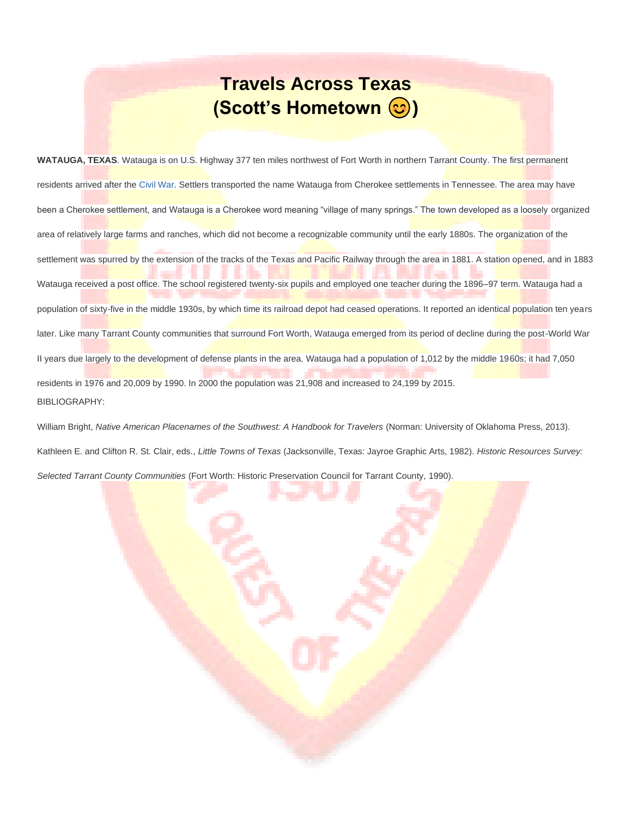## **Travels Across Texas (Scott's Hometown**  $\odot$ **)**

**WATAUGA, TEXAS**. Watauga is on U.S. Highway 377 ten miles northwest of Fort Worth in northern Tarrant County. The first permanent residents arrived after th[e Civil War.](https://tshaonline.org/handbook/online/articles/qdc02) Settlers transported the name Watauga from Cherokee settlements in Tennessee. The area may have been a Cherokee settlement, and Watauga is a Cherokee word meaning "village of many springs." The town developed as a loosely organized area of relatively large farms and ranches, which did not become a recognizable community until the early 1880s. The organization of the settlement was spurred by the extension of the tracks of the Texas and Pacific Railway through the area in 1881. A station opened, and in 1883 Watauga received a post office. The school registered twenty-six pupils and employed one teacher during the 1896–97 term. Watauga had a population of sixty-five in the middle 1930s, by which time its railroad depot had ceased operations. It reported an identical population ten years later. Like many Tarrant County communities that surround Fort Worth, Watauga emerged from its period of decline during the post-World War II years due largely to the development of defense plants in the area. Watauga had a population of 1,012 by the middle 1960s; it had 7,050 residents in 1976 and 20,009 by 1990. In 2000 the population was 21,908 and increased to 24,199 by 2015. BIBLIOGRAPHY:

William Bright, Native American Placenames of the Southwest: A Handbook for Travelers (Norman: University of Oklahoma Press, 2013).

Kathleen E. and Clifton R. St. Clair, eds., *Little Towns of Texas* (Jacksonville, Texas: Jayroe Graphic Arts, 1982). *Historic Resources Survey: Selected Tarrant County Communities* (Fort Worth: Historic Preservation Council for Tarrant County, 1990).